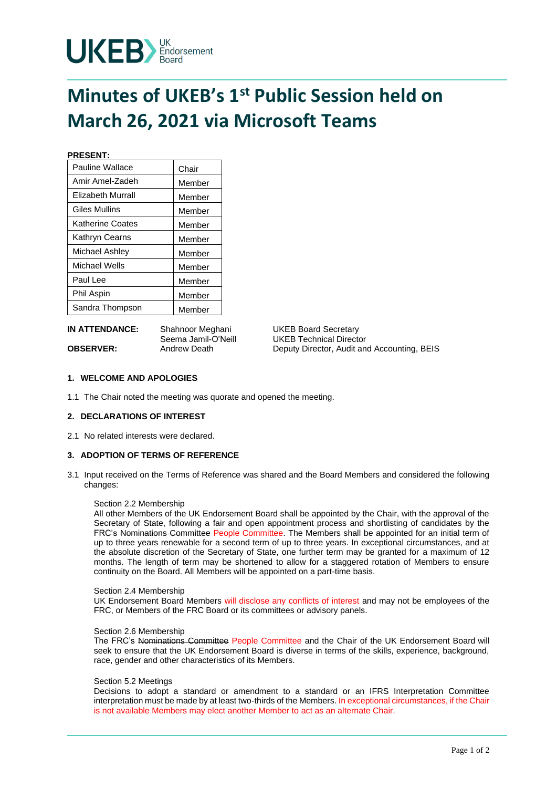

# **Minutes of UKEB's 1st Public Session held on March 26, 2021 via Microsoft Teams**

**PRESENT:**

| Pauline Wallace          | Chair  |
|--------------------------|--------|
| Amir Amel-Zadeh          | Member |
| <b>Elizabeth Murrall</b> | Member |
| Giles Mullins            | Member |
| Katherine Coates         | Member |
| Kathryn Cearns           | Member |
| Michael Ashley           | Member |
| Michael Wells            | Member |
| Paul Lee                 | Member |
| Phil Aspin               | Member |
| Sandra Thompson          | Member |

**IN ATTENDANCE:** Shahnoor Meghani UKEB Board Secretary

Seema Jamil-O'Neill UKEB Technical Director **OBSERVER:** Andrew Death Deputy Director, Audit and Accounting, BEIS

# **1. WELCOME AND APOLOGIES**

1.1 The Chair noted the meeting was quorate and opened the meeting.

# **2. DECLARATIONS OF INTEREST**

2.1 No related interests were declared.

# **3. ADOPTION OF TERMS OF REFERENCE**

3.1 Input received on the Terms of Reference was shared and the Board Members and considered the following changes:

# Section 2.2 Membership

All other Members of the UK Endorsement Board shall be appointed by the Chair, with the approval of the Secretary of State, following a fair and open appointment process and shortlisting of candidates by the FRC's Nominations Committee People Committee. The Members shall be appointed for an initial term of up to three years renewable for a second term of up to three years. In exceptional circumstances, and at the absolute discretion of the Secretary of State, one further term may be granted for a maximum of 12 months. The length of term may be shortened to allow for a staggered rotation of Members to ensure continuity on the Board. All Members will be appointed on a part-time basis.

#### Section 2.4 Membership

UK Endorsement Board Members will disclose any conflicts of interest and may not be employees of the FRC, or Members of the FRC Board or its committees or advisory panels.

# Section 2.6 Membership

The FRC's Nominations Committee People Committee and the Chair of the UK Endorsement Board will seek to ensure that the UK Endorsement Board is diverse in terms of the skills, experience, background, race, gender and other characteristics of its Members.

#### Section 5.2 Meetings

Decisions to adopt a standard or amendment to a standard or an IFRS Interpretation Committee interpretation must be made by at least two-thirds of the Members. In exceptional circumstances, if the Chair is not available Members may elect another Member to act as an alternate Chair.